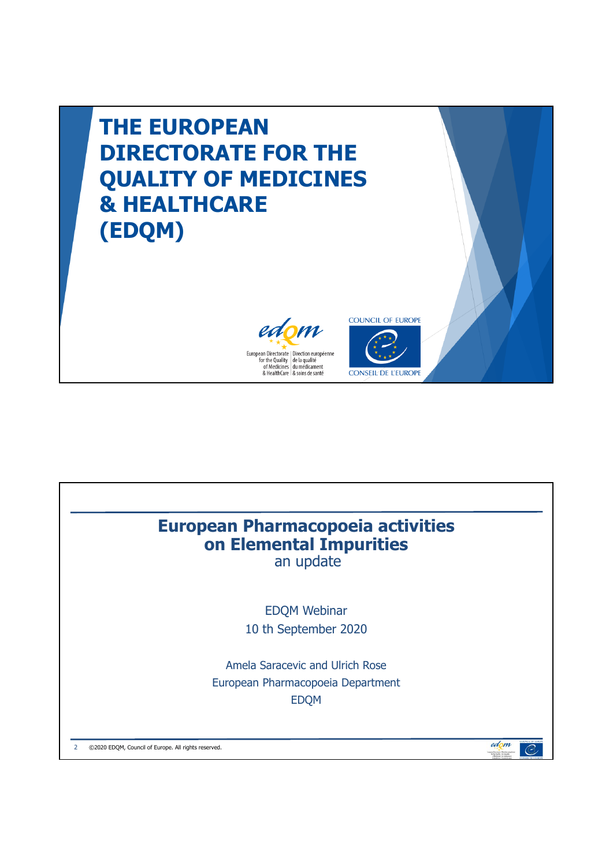

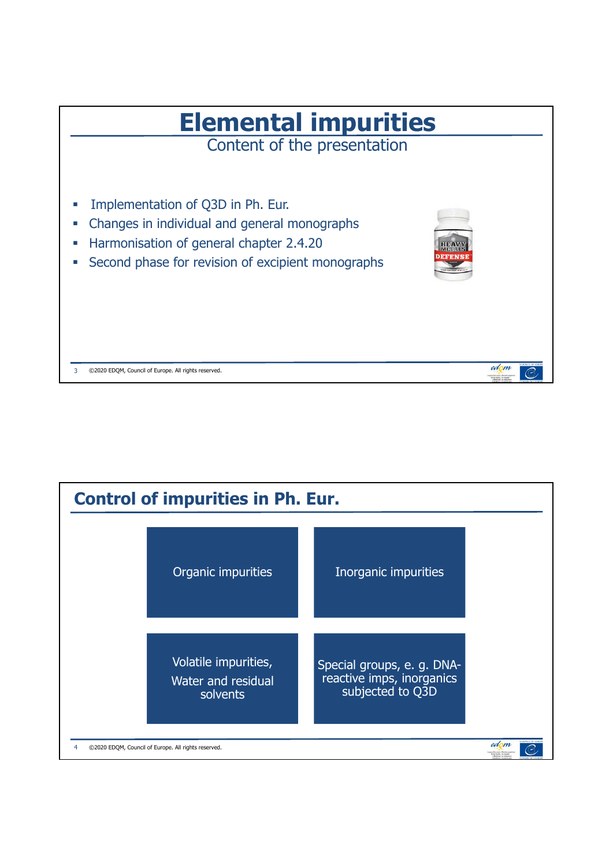

| <b>Control of impurities in Ph. Eur.</b> |                                                        |                                                                             |                                     |  |  |  |  |
|------------------------------------------|--------------------------------------------------------|-----------------------------------------------------------------------------|-------------------------------------|--|--|--|--|
|                                          | Organic impurities                                     | Inorganic impurities                                                        |                                     |  |  |  |  |
|                                          | Volatile impurities,<br>Water and residual<br>solvents | Special groups, e. g. DNA-<br>reactive imps, inorganics<br>subjected to Q3D |                                     |  |  |  |  |
|                                          | ©2020 EDQM, Council of Europe. All rights reserved.    |                                                                             | edom<br>or the Dunlin: In Scientist |  |  |  |  |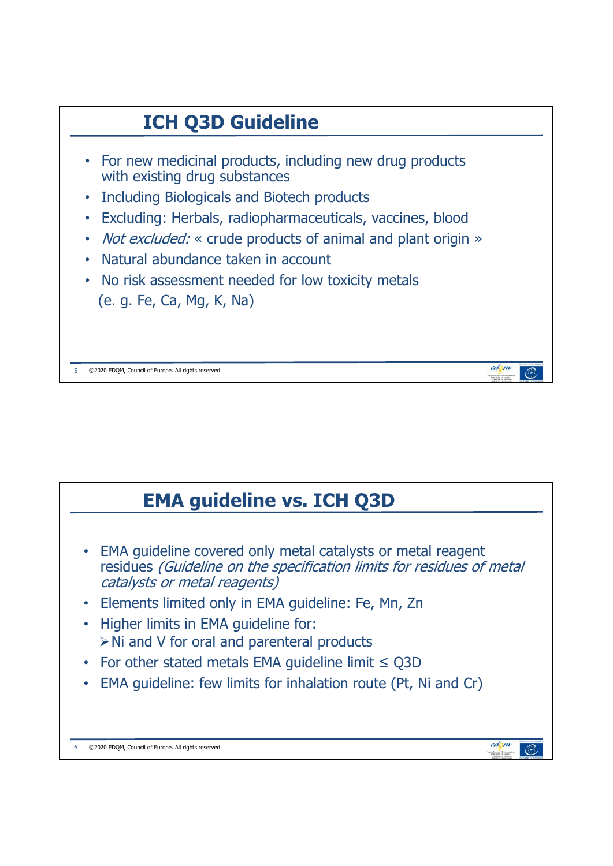

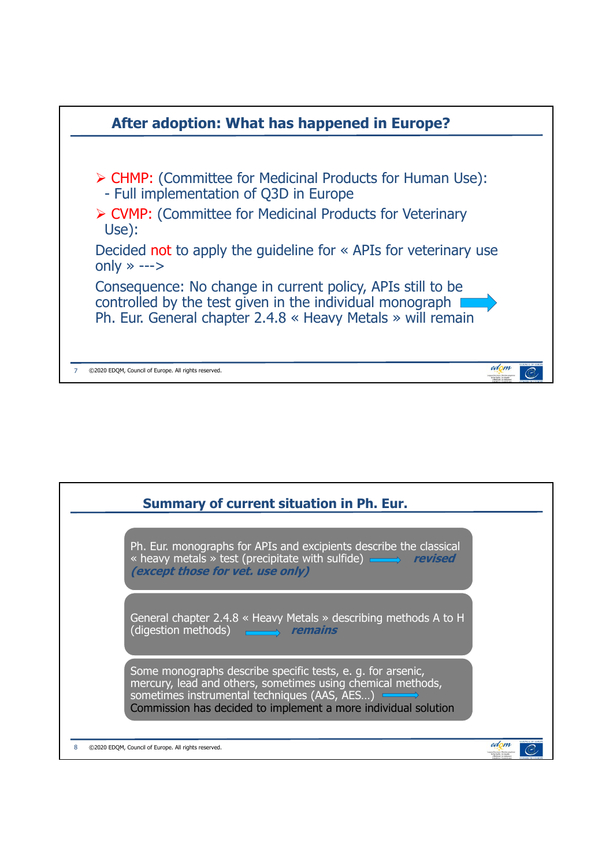

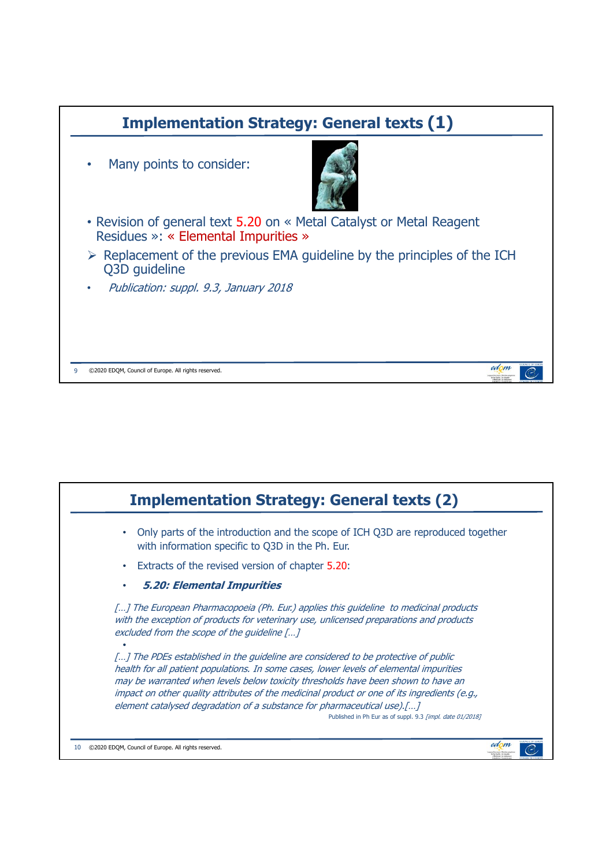

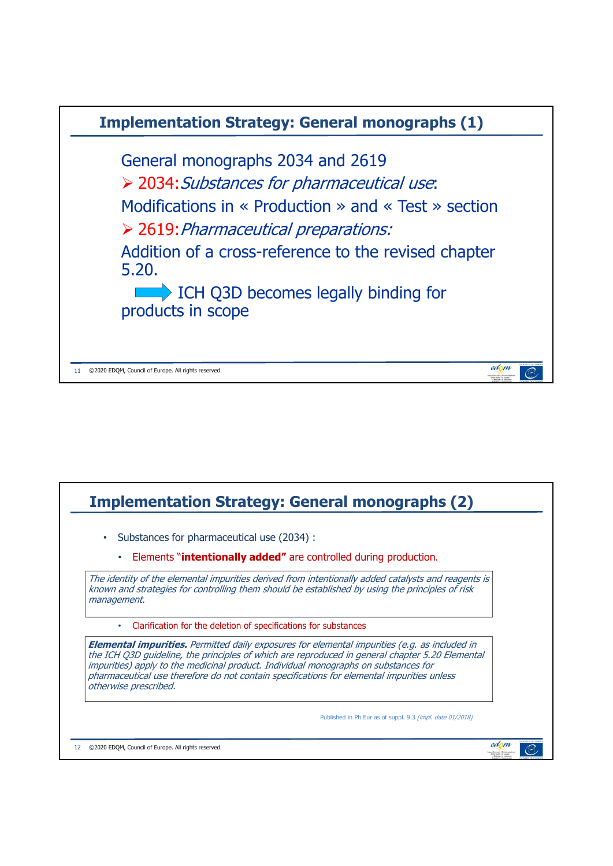

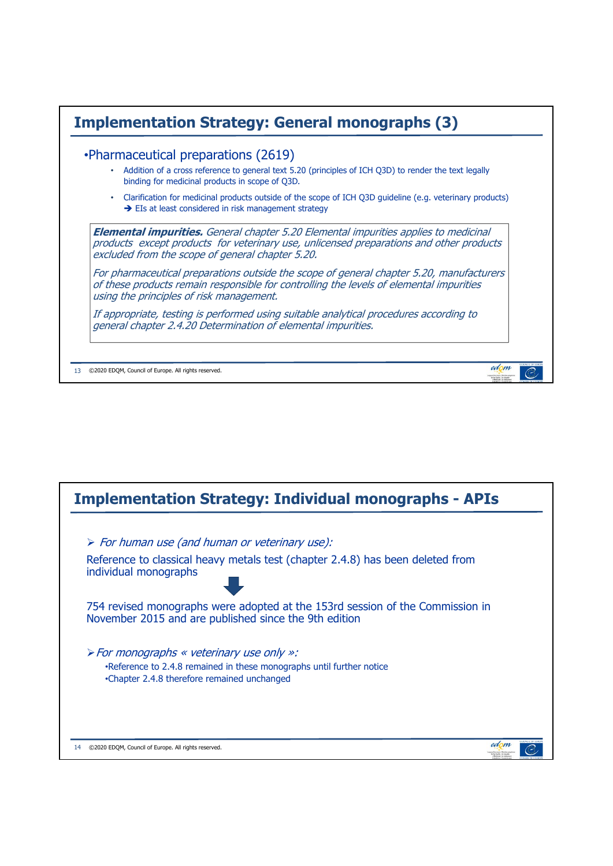|           | •Pharmaceutical preparations (2619)<br>Addition of a cross reference to general text 5.20 (principles of ICH Q3D) to render the text legally<br>binding for medicinal products in scope of Q3D.                                            |
|-----------|--------------------------------------------------------------------------------------------------------------------------------------------------------------------------------------------------------------------------------------------|
| $\bullet$ | Clarification for medicinal products outside of the scope of ICH Q3D quideline (e.g. veterinary products)<br>$\rightarrow$ EIs at least considered in risk management strategy                                                             |
|           | <b>Elemental impurities.</b> General chapter 5.20 Elemental impurities applies to medicinal<br>products except products for veterinary use, unlicensed preparations and other products<br>excluded from the scope of general chapter 5.20. |
|           | For pharmaceutical preparations outside the scope of general chapter 5.20, manufacturers<br>of these products remain responsible for controlling the levels of elemental impurities<br>using the principles of risk management.            |
|           |                                                                                                                                                                                                                                            |

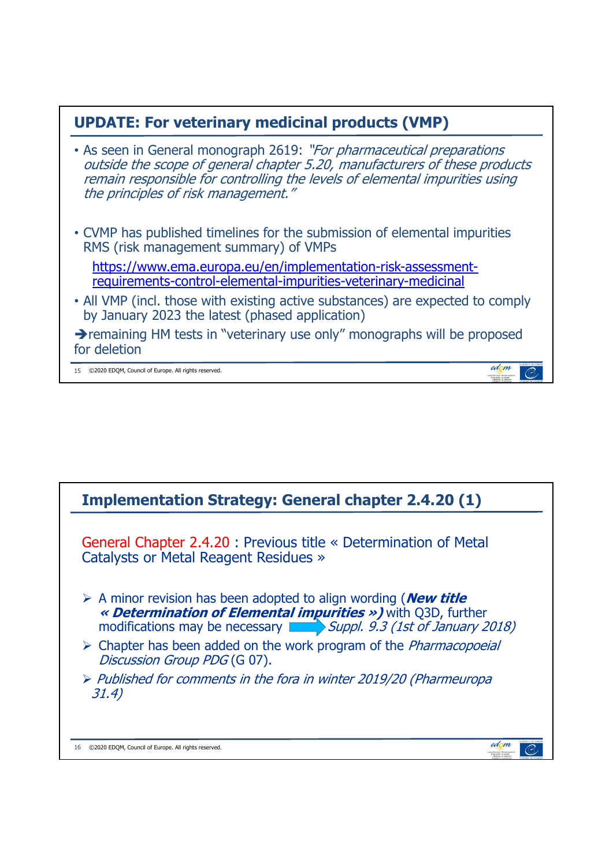## **UPDATE: For veterinary medicinal products (VMP)**

- As seen in General monograph 2619: "For pharmaceutical preparations outside the scope of general chapter 5.20, manufacturers of these products remain responsible for controlling the levels of elemental impurities using the principles of risk management."
- CVMP has published timelines for the submission of elemental impurities RMS (risk management summary) of VMPs

https://www.ema.europa.eu/en/implementation-risk-assessmentrequirements-control-elemental-impurities-veterinary-medicinal

• All VMP (incl. those with existing active substances) are expected to comply by January 2023 the latest (phased application)

**P** remaining HM tests in "veterinary use only" monographs will be proposed for deletion

edom

edom

 $\mathcal{C}$ 

 $\epsilon$ 

15 ©2020 EDQM, Council of Europe. All rights reserved.

## **Implementation Strategy: General chapter 2.4.20 (1)** General Chapter 2.4.20 : Previous title « Determination of Metal Catalysts or Metal Reagent Residues » A minor revision has been adopted to align wording (**New title « Determination of Elemental impurities »)** with Q3D, further modifications may be necessary **Suppl.** 9.3 (1st of January 2018)  $\triangleright$  Chapter has been added on the work program of the *Pharmacopoeial* Discussion Group PDG (G 07).  $\triangleright$  Published for comments in the fora in winter 2019/20 (Pharmeuropa 31.4)

16 ©2020 EDQM, Council of Europe. All rights reserved.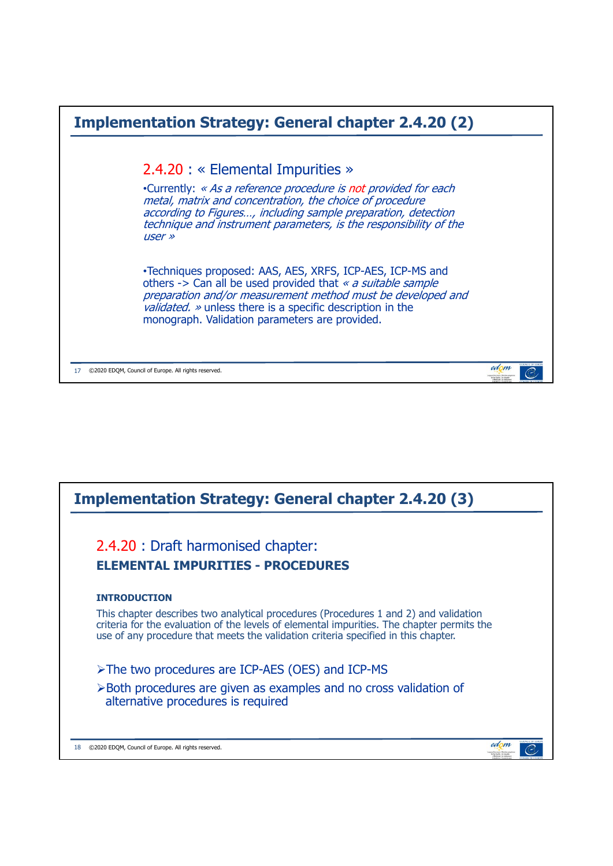

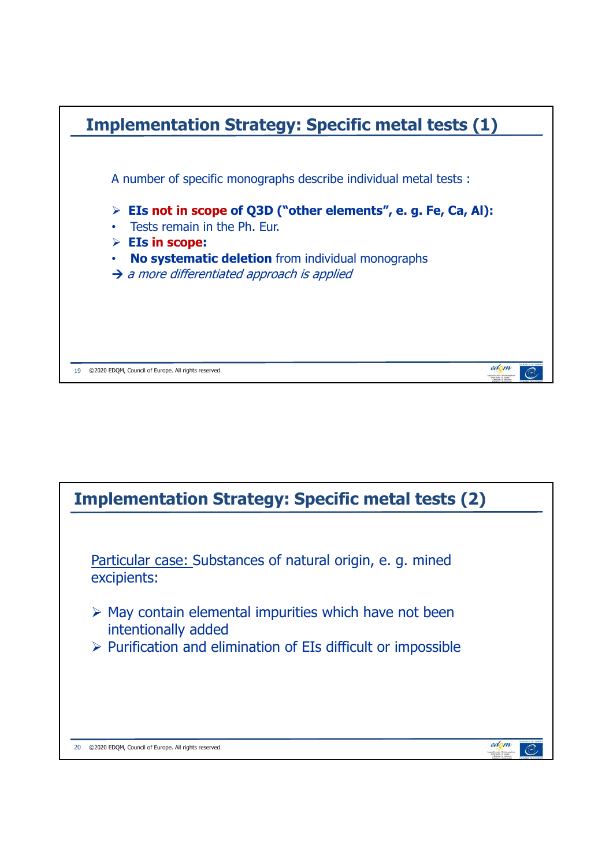

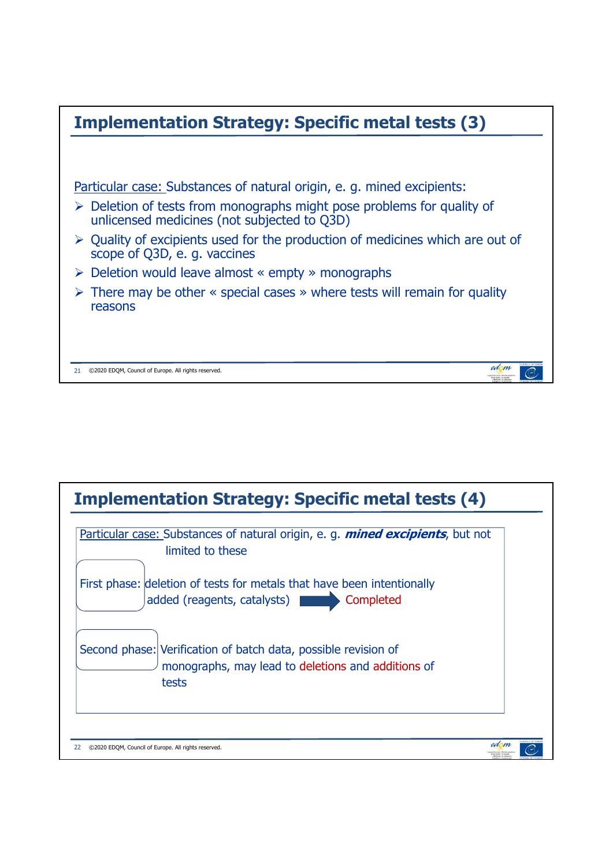

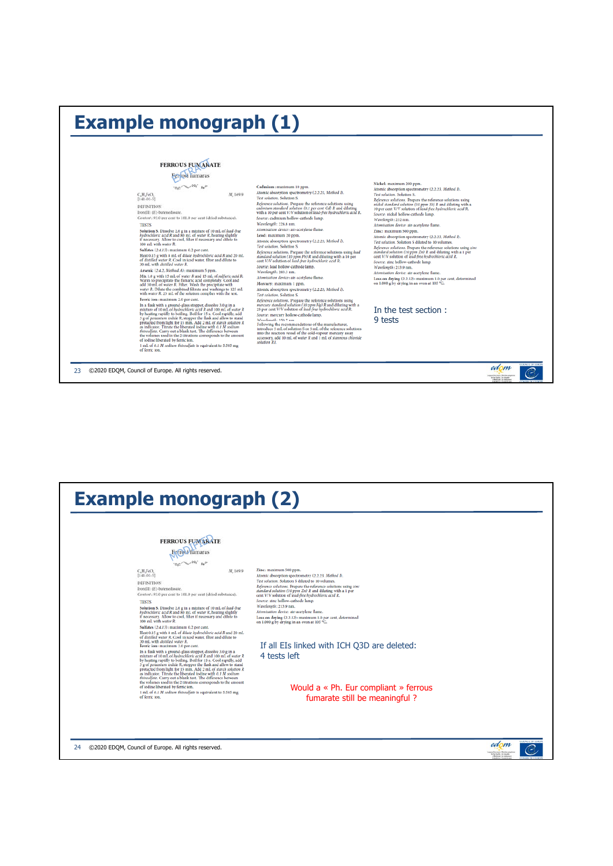| <b>Example monograph (1)</b>                                                                                                                                                                                                                                                                                                                                                                                                                                                                                                                                                                                                                                                                                                                                                                                                                                                                                                                                                                                                                                                                                                                                                                                                                                                                                                                                                                                                                                                                                                                                                                                                                                                                                                                                                 |                                                                                                                                                                                                                                                                                                                                                                                                                                                                                                                                                                                                                                                                                                                                                                                                                                                                                                                                                                                                                                                                                                                                                                                                                                                                                                                                                                                                                                                                                                    |                                                                                                                                                                                                                                                                                                                                                                                                                                                                                                                                                                                                                                                                                                                                                                                                                                                                                                                                                                                                     |                                     |  |  |  |
|------------------------------------------------------------------------------------------------------------------------------------------------------------------------------------------------------------------------------------------------------------------------------------------------------------------------------------------------------------------------------------------------------------------------------------------------------------------------------------------------------------------------------------------------------------------------------------------------------------------------------------------------------------------------------------------------------------------------------------------------------------------------------------------------------------------------------------------------------------------------------------------------------------------------------------------------------------------------------------------------------------------------------------------------------------------------------------------------------------------------------------------------------------------------------------------------------------------------------------------------------------------------------------------------------------------------------------------------------------------------------------------------------------------------------------------------------------------------------------------------------------------------------------------------------------------------------------------------------------------------------------------------------------------------------------------------------------------------------------------------------------------------------|----------------------------------------------------------------------------------------------------------------------------------------------------------------------------------------------------------------------------------------------------------------------------------------------------------------------------------------------------------------------------------------------------------------------------------------------------------------------------------------------------------------------------------------------------------------------------------------------------------------------------------------------------------------------------------------------------------------------------------------------------------------------------------------------------------------------------------------------------------------------------------------------------------------------------------------------------------------------------------------------------------------------------------------------------------------------------------------------------------------------------------------------------------------------------------------------------------------------------------------------------------------------------------------------------------------------------------------------------------------------------------------------------------------------------------------------------------------------------------------------------|-----------------------------------------------------------------------------------------------------------------------------------------------------------------------------------------------------------------------------------------------------------------------------------------------------------------------------------------------------------------------------------------------------------------------------------------------------------------------------------------------------------------------------------------------------------------------------------------------------------------------------------------------------------------------------------------------------------------------------------------------------------------------------------------------------------------------------------------------------------------------------------------------------------------------------------------------------------------------------------------------------|-------------------------------------|--|--|--|
| <b>FERROUS FUMARATE</b><br>persosi fumaras<br>C <sub>2</sub> H <sub>2</sub> FeO <sub>2</sub><br>M. 169.9<br>$[141-01-5]$<br><b>DEFINITION</b><br>Iron(II) (E)-butenedioate.<br>Content: 93.0 per cent to 101.0 per cent (dried substance).<br><b>TESTS</b><br>Solution S. Dissolve 2.0 g in a mixture of 10 mL of lead-free<br>hydrochloric acid R and 80 mL of water R, heating slightly<br>If necessary. Allow to cool, filter if necessary and dilute to<br>100 mL with water R.<br>Sulfates (2.4.13): maximum 0.2 per cent.<br>Heat 0.15 g with 8 mL of dilute hydrochloric acid R and 20 mL<br>of distilled water R. Cool in iced water, filter and dilute to<br>30 mL with distilled water R.<br>Arsenic (2.4.2, Method A): maximum 5 ppm.<br>Mix 1.0 g with 15 mL of water R and 15 mL of sulfuric acid R.<br>Warm to precipitate the fumaric acid completely. Cool and<br>add 30 mL of water R. Filter. Wash the precipitate with<br>water R. Dilute the combined filtrate and washings to 125 mL<br>with water R. 25 mL of the solution complies with the test.<br>Ferric ion: maximum 2.0 per cent.<br>In a flask with a ground-glass stopper, dissolve 3.0 g in a<br>mixture of 10 mL of hydrochloric acid R and 100 mL of water R<br>by heating rapidly to boiling. Boil for 15 s. Cool rapidly, add<br>3 g of potassium todide R, stopper the flask and allow to stand<br>protected from light for 15 min. Add 2 mL of starch solution R<br>as indicator. Titrate the liberated iodine with 0.1 M sodium<br>thtosulfate. Carry out a blank test. The difference between<br>the volumes used in the 2 titrations corresponds to the amount<br>of iodine liberated by ferric ion.<br>1 mL of 0.1 M sodium thiosulfate is equivalent to 5.585 mg<br>of ferric ion. | Cadmium: maximum 10 ppm.<br>Atomic absorption spectrometry (2.2.23, Method I).<br>Test solution. Solution S.<br>Reference solutions. Prepare the reference solutions using<br>cadmium standard solution (0.1 per cent Cd) R and diluting<br>with a 10 per cent V/V solution of lead-free hydrochloric acid R.<br>Source: cadmium hollow-cathode lamp.<br>Wavelength: 228.8 nm.<br>Atomisation device: air-acetylene flame.<br>Lead: maximum 20 ppm.<br>Atomic absorption spectrometry (2.2.23, Method I).<br><b>Test solution. Solution S.</b><br>Reference solutions. Prepare the reference solutions using lead<br>standard solution (10 ppm Pb) R and diluting with a 10 per<br>cent V/V solution of lead-free hydrochloric acid R.<br>Source: lead hollow-cathode lamp.<br>Wavelength: 283.3 nm.<br>Atomisation device: air-acetylene flame.<br>Mercury: maximum 1 ppm.<br>Atomic absorption spectrometry (2.2.23, Method I),<br>Test solution. Solution S.<br>Reference solutions. Prepare the reference solutions using<br>mercury standard solution (10 ppm Hg) R and diluting with a<br>25 per cent V/V solution of lead-free hydrochloric acid R.<br>Source: mercury hollow-cathode lamp.<br>Wavelength: 253.7 nm.<br>Following the recommendations of the manufacturer,<br>introduce 5 mL of solution S or 5 mL of the reference solutions<br>into the reaction vessel of the cold-vapour mercury assay<br>accessory, add 10 mL of water R and 1 mL of stannous chloride<br>solution R1. | Nickel: maximum 200 ppm.<br>Atomic absorption spectrometry (2.2.23, Method I).<br>Test solution. Solution S.<br>Reference solutions. Prepare the reference solutions using<br>nickel standard solution (10 ppm Nt) R and diluting with a<br>10 per cent V/V solution of lead-free hydrochloric acid R.<br>Source: nickel hollow-cathode lamp.<br>Wavelength: 232 nm.<br>Atomisation device: air-acetylene flame.<br>Zinc: maximum 500 ppm.<br>Atomic absorption spectrometry (2.2.23, Method I).<br>Test solution. Solution S diluted to 10 volumes.<br>Reference solutions. Prepare the reference solutions using zinc<br>standard solution (10 ppm Zn) R and diluting with a 1 per<br>cent V/V solution of lead-free hydrochloric acid R.<br>Source: zinc hollow-cathode lamp.<br>Wavelength: 213.9 nm.<br>Atomisation device: air-acetylene flame.<br>Loss on drying (2.2.32): maximum 1.0 per cent, determined<br>on 1.000 g by drying in an oven at 105 °C.<br>In the test section:<br>9 tests | THING II CH HUND                    |  |  |  |
| 23<br>©2020 EDQM, Council of Europe. All rights reserved.                                                                                                                                                                                                                                                                                                                                                                                                                                                                                                                                                                                                                                                                                                                                                                                                                                                                                                                                                                                                                                                                                                                                                                                                                                                                                                                                                                                                                                                                                                                                                                                                                                                                                                                    |                                                                                                                                                                                                                                                                                                                                                                                                                                                                                                                                                                                                                                                                                                                                                                                                                                                                                                                                                                                                                                                                                                                                                                                                                                                                                                                                                                                                                                                                                                    |                                                                                                                                                                                                                                                                                                                                                                                                                                                                                                                                                                                                                                                                                                                                                                                                                                                                                                                                                                                                     | edom<br>import Decision (Section of |  |  |  |

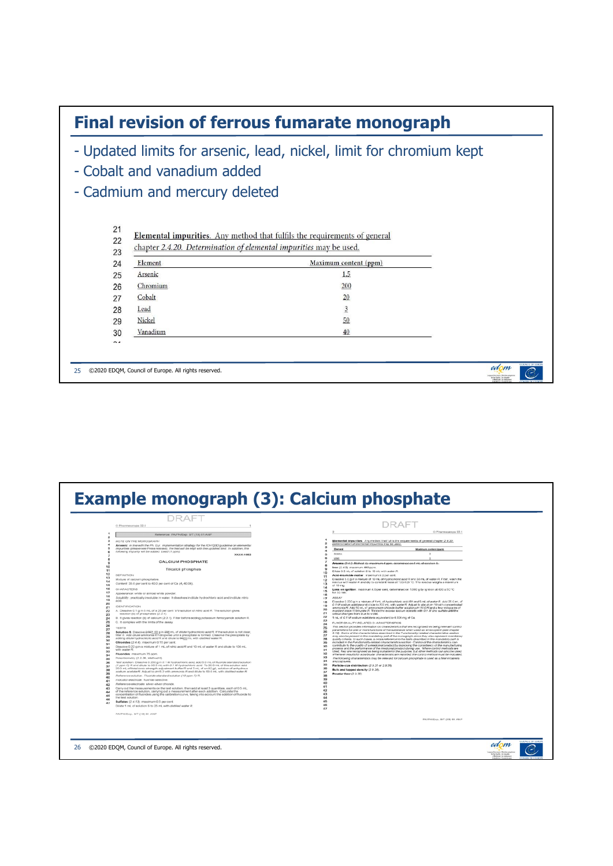

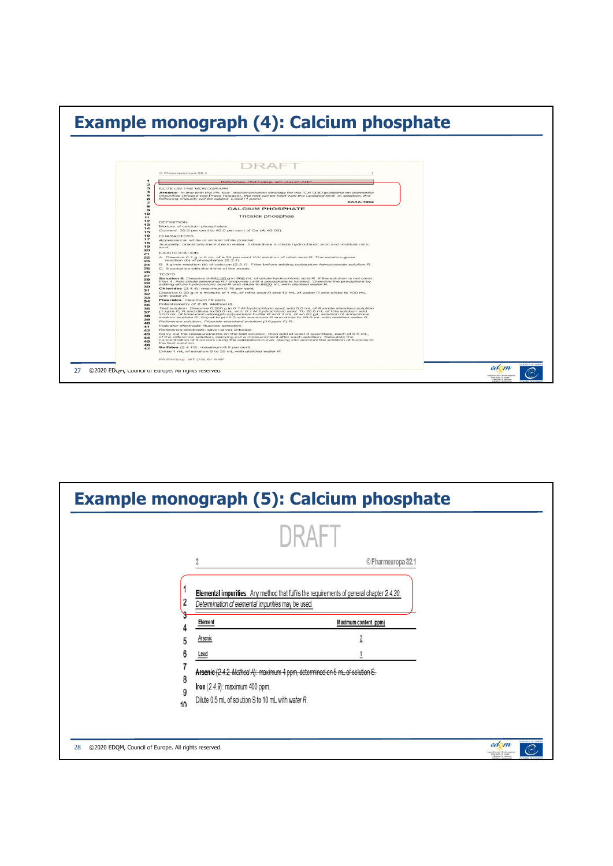

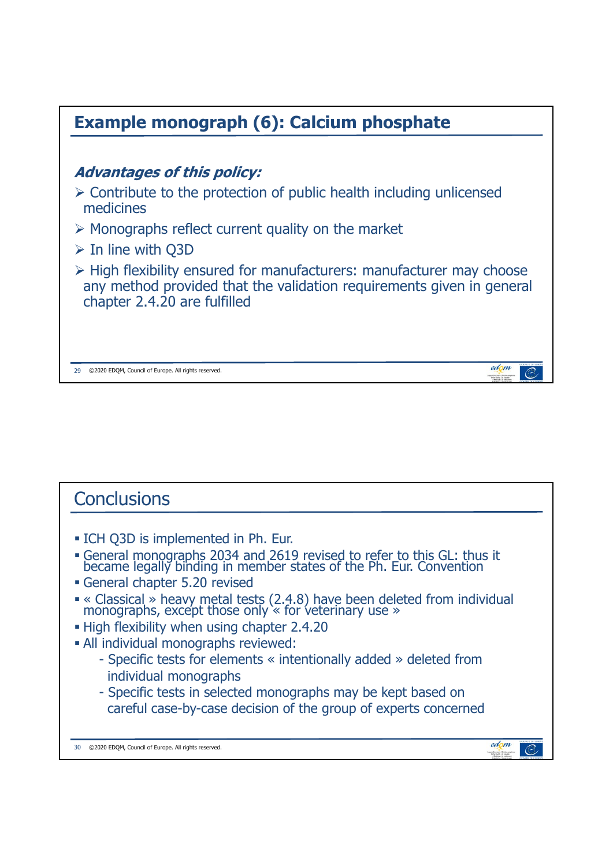

## **Conclusions**  ICH Q3D is implemented in Ph. Eur. General monographs 2034 and 2619 revised to refer to this GL: thus it became legally binding in member states of the Ph. Eur. Convention General chapter 5.20 revised « Classical » heavy metal tests (2.4.8) have been deleted from individual monographs, except those only  $\cdot$  for veterinary use » **- High flexibility when using chapter 2.4.20**  All individual monographs reviewed: - Specific tests for elements « intentionally added » deleted from individual monographs - Specific tests in selected monographs may be kept based on careful case-by-case decision of the group of experts concernededom 30 ©2020 EDQM, Council of Europe. All rights reserved.  $\mathcal{C}$